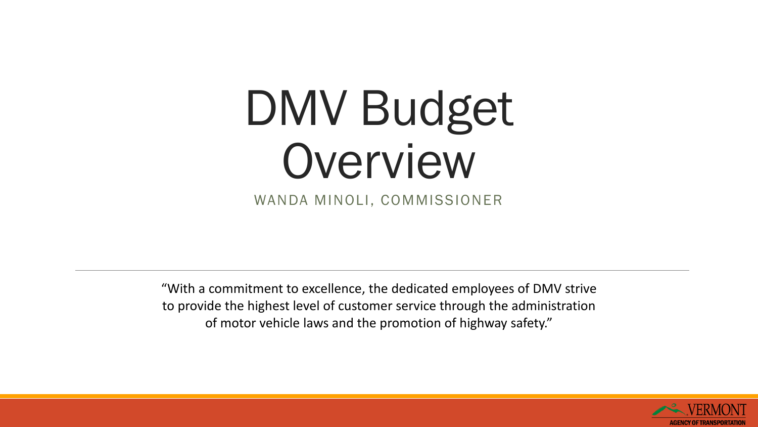# DMV Budget Overview

WANDA MINOLI, COMMISSIONER

"With a commitment to excellence, the dedicated employees of DMV strive to provide the highest level of customer service through the administration of motor vehicle laws and the promotion of highway safety."

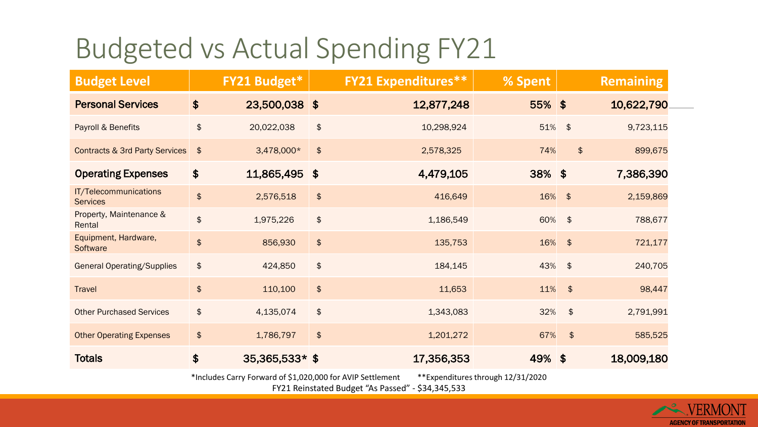#### Budgeted vs Actual Spending FY21

| <b>Budget Level</b>                                                                             |                             | FY21 Budget*     |                      | <b>FY21 Expenditures**</b> | % Spent   |               | <b>Remaining</b>                     |  |
|-------------------------------------------------------------------------------------------------|-----------------------------|------------------|----------------------|----------------------------|-----------|---------------|--------------------------------------|--|
| <b>Personal Services</b>                                                                        | $\boldsymbol{\hat{\phi}}$   | 23,500,038 \$    |                      | 12,877,248                 | $55\%$ \$ |               | 10,622,790                           |  |
| Payroll & Benefits                                                                              | \$                          | 20,022,038       | $\pmb{\mathfrak{P}}$ | 10,298,924                 | 51% \$    |               | 9,723,115                            |  |
| Contracts & 3rd Party Services                                                                  | $\frac{1}{2}$               | 3,478,000*       | $\frac{1}{2}$        | 2,578,325                  | 74%       |               | $\boldsymbol{\hat{\phi}}$<br>899,675 |  |
| <b>Operating Expenses</b>                                                                       | $\boldsymbol{\hat{\phi}}$   | 11,865,495       | $\sqrt{3}$           | 4,479,105                  | 38% \$    |               | 7,386,390                            |  |
| IT/Telecommunications<br><b>Services</b>                                                        | $\frac{1}{2}$               | 2,576,518        | $\frac{1}{2}$        | 416,649                    | 16% \$    |               | 2,159,869                            |  |
| Property, Maintenance &<br>Rental                                                               | \$                          | 1,975,226        | $\pmb{\mathfrak{P}}$ | 1,186,549                  | 60% \$    |               | 788,677                              |  |
| Equipment, Hardware,<br>Software                                                                | $\frac{1}{2}$               | 856,930          | $\frac{1}{2}$        | 135,753                    | 16% \$    |               | 721,177                              |  |
| <b>General Operating/Supplies</b>                                                               | $\boldsymbol{\updownarrow}$ | 424,850          | $\frac{1}{2}$        | 184,145                    | 43% \$    |               | 240,705                              |  |
| <b>Travel</b>                                                                                   | $\frac{1}{2}$               | 110,100          | $\frac{1}{2}$        | 11,653                     | 11%       | $\frac{1}{2}$ | 98,447                               |  |
| <b>Other Purchased Services</b>                                                                 | $\boldsymbol{\updownarrow}$ | 4,135,074        | $\pmb{\mathfrak{P}}$ | 1,343,083                  | 32%       | $\frac{1}{2}$ | 2,791,991                            |  |
| <b>Other Operating Expenses</b>                                                                 | $\frac{1}{2}$               | 1,786,797        | $\frac{1}{2}$        | 1,201,272                  | 67%       | $\frac{1}{2}$ | 585,525                              |  |
| <b>Totals</b>                                                                                   | $\boldsymbol{\hat{\phi}}$   | $35,365,533*$ \$ |                      | 17,356,353                 | 49% \$    |               | 18,009,180                           |  |
| *Includes Carry Forward of \$1,020,000 for AVIP Settlement<br>**Expenditures through 12/31/2020 |                             |                  |                      |                            |           |               |                                      |  |

FY21 Reinstated Budget "As Passed" - \$34,345,533

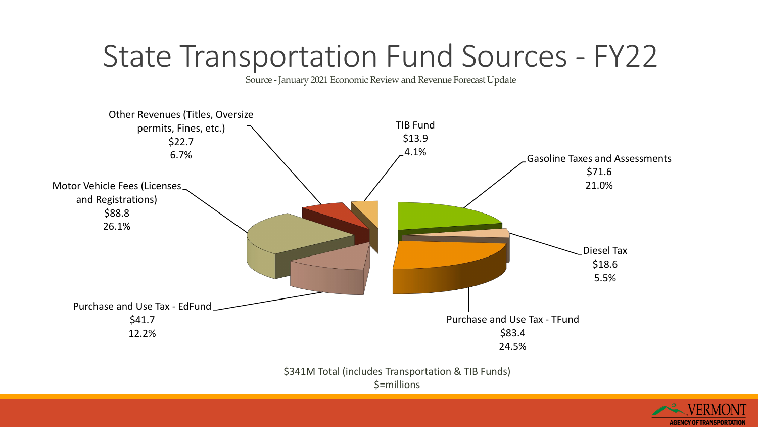### State Transportation Fund Sources - FY22

Source - January 2021 Economic Review and Revenue Forecast Update



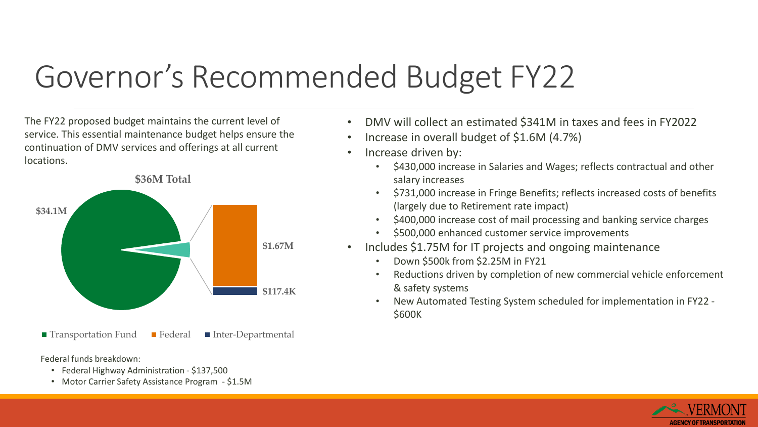## Governor's Recommended Budget FY22

The FY22 proposed budget maintains the current level of service. This essential maintenance budget helps ensure the continuation of DMV services and offerings at all current locations.



 $\blacksquare$  Transportation Fund  $\blacksquare$  Federal  $\blacksquare$  Inter-Departmental

Federal funds breakdown:

- Federal Highway Administration \$137,500
- Motor Carrier Safety Assistance Program \$1.5M
- DMV will collect an estimated \$341M in taxes and fees in FY2022
- Increase in overall budget of \$1.6M (4.7%)
- Increase driven by:
	- \$430,000 increase in Salaries and Wages; reflects contractual and other salary increases
	- \$731,000 increase in Fringe Benefits; reflects increased costs of benefits (largely due to Retirement rate impact)
	- \$400,000 increase cost of mail processing and banking service charges
	- \$500,000 enhanced customer service improvements
- Includes \$1.75M for IT projects and ongoing maintenance
	- Down \$500k from \$2.25M in FY21
	- Reductions driven by completion of new commercial vehicle enforcement & safety systems
	- New Automated Testing System scheduled for implementation in FY22 \$600K